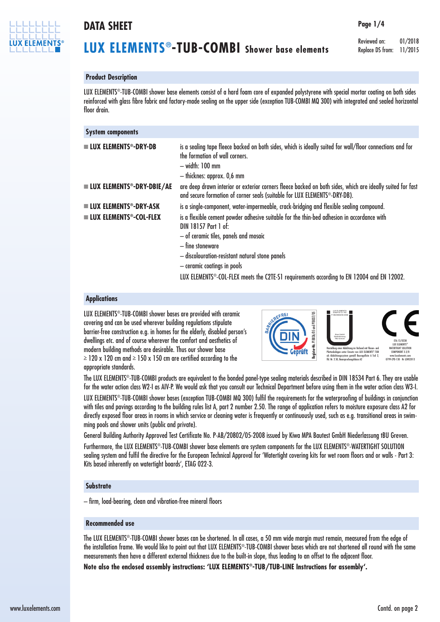

### **DATA SHEET**

# **LUX ELEMENTS®-TUB-COMBI Shower base elements**

Reviewed on: 01/2018 Replace DS from: 11/2015

**Page 1/4**

#### **Product Description**

LUX ELEMENTS®-TUB-COMBI shower base elements consist of a hard foam core of expanded polystyrene with special mortar coating on both sides reinforced with glass fibre fabric and factory-made sealing on the upper side (exception TUB-COMBI MQ 300) with integrated and sealed horizontal floor drain.

| <b>System components</b>                    |                                                                                                                                                                                                                                                                                                                                                                             |  |
|---------------------------------------------|-----------------------------------------------------------------------------------------------------------------------------------------------------------------------------------------------------------------------------------------------------------------------------------------------------------------------------------------------------------------------------|--|
| $\blacksquare$ LUX ELEMENTS®-DRY-DB         | is a sealing tape fleece backed on both sides, which is ideally suited for wall/floor connections and for<br>the formation of wall corners.<br>- width: 100 mm<br>- thicknes: approx. 0,6 mm                                                                                                                                                                                |  |
| <b>LUX ELEMENTS<sup>®</sup>-DRY-DBIE/AE</b> | are deep drawn interior or exterior corners fleece backed on both sides, which are ideally suited for fast<br>and secure formation of corner seals (suitable for LUX ELEMENTS <sup>®</sup> -DRY-DB).                                                                                                                                                                        |  |
| <b>■ LUX ELEMENTS®-DRY-ASK</b>              | is a single-component, water-impermeable, crack-bridging and flexible sealing compound.                                                                                                                                                                                                                                                                                     |  |
| $\blacksquare$ LUX ELEMENTS®-COL-FLEX       | is a flexible cement powder adhesive suitable for the thin-bed adhesion in accordance with<br>DIN 18157 Part 1 of:<br>- of ceramic tiles, panels and mosaic<br>- fine stoneware<br>- discolouration-resistant natural stone panels<br>- ceramic coatings in pools<br>LUX ELEMENTS <sup>®</sup> -COL-FLEX meets the C2TE-S1 requirements according to EN 12004 and EN 12002. |  |

#### **Applications**

LUX ELEMENTS®-TUB-COMBI shower bases are provided with ceramic covering and can be used wherever building regulations stipulate barrier-free construction e.g. in homes for the elderly, disabled person's dwellings etc. and of course wherever the comfort and aesthetics of modern building methods are desirable. Thus our shower base  $\geq$  120 x 120 cm and  $\geq$  150 x 150 cm are certified according to the appropriate standards.



The LUX ELEMENTS®-TUB-COMBI products are equivalent to the bonded panel-type sealing materials described in DIN 18534 Part 6. They are usable for the water action class W2-I as AIV-P. We would ask that you consult our Technical Department before using them in the water action class W3-I.

LUX ELEMENTS®-TUB-COMBI shower bases (exception TUB-COMBI MQ 300) fulfil the requirements for the waterproofing of buildings in conjunction with tiles and pavings according to the building rules list A, part 2 number 2.50. The range of application refers to moisture exposure class A2 for directly exposed floor areas in rooms in which service or cleaning water is frequently or continuously used, such as e.g. transitional areas in swimming pools and shower units (public and private).

General Building Authority Approved Test Certificate No. P-AB/20802/05-2008 issued by Kiwa MPA Bautest GmbH Niederlassung tBU Greven.

Furthermore, the LUX ELEMENTS®-TUB-COMBI shower base elements are system components for the LUX ELEMENTS®-WATERTIGHT SOLUTION sealing system and fulfil the directive for the European Technical Approval for 'Watertight covering kits for wet room floors and or walls - Part 3: Kits based inherently on watertight boards', ETAG 022-3.

#### **Substrate**

– firm, load-bearing, clean and vibration-free mineral floors

#### **Recommended use**

The LUX ELEMENTS®-TUB-COMBI shower bases can be shortened. In all cases, a 50 mm wide margin must remain, measured from the edge of the installation frame. We would like to point out that LUX ELEMENTS®-TUB-COMBI shower bases which are not shortened all round with the same measurements then have a different external thickness due to the built-in slope, thus leading to an offset to the adjacent floor.

**Note also the enclosed assembly instructions: 'LUX ELEMENTS®-TUB/TUB-LINE Instructions for assembly'.**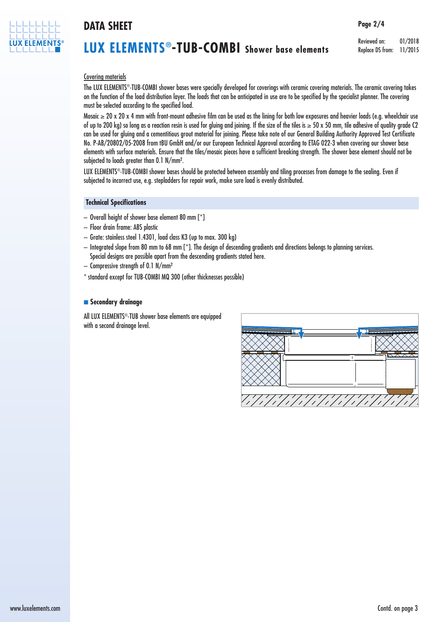

### **DATA SHEET**

## **LUX ELEMENTS®-TUB-COMBI Shower base elements**

Reviewed on: 01/2018 Replace DS from: 11/2015

**Page 2/4**

### Covering materials

The LUX ELEMENTS®-TUB-COMBI shower bases were specially developed for coverings with ceramic covering materials. The ceramic covering takes on the function of the load distribution layer. The loads that can be anticipated in use are to be specified by the specialist planner. The covering must be selected according to the specified load.

Mosaic ≥ 20 x 20 x 4 mm with front-mount adhesive film can be used as the lining for both low exposures and heavier loads (e.g. wheelchair use of up to 200 kg) so long as a reaction resin is used for gluing and joining. If the size of the tiles is  $\geq$  50 x 50 mm, tile adhesive of quality grade C2 can be used for gluing and a cementitious grout material for joining. Please take note of our General Building Authority Approved Test Certificate No. P-AB/20802/05-2008 from tBU GmbH and/or our European Technical Approval according to ETAG 022-3 when covering our shower base elements with surface materials. Ensure that the tiles/mosaic pieces have a sufficient breaking strength. The shower base element should not be subjected to loads greater than 0.1 N/mm².

LUX ELEMENTS®-TUB-COMBI shower bases should be protected between assembly and tiling processes from damage to the sealing. Even if subjected to incorrect use, e.g. stepladders for repair work, make sure load is evenly distributed.

#### **Technical Specifications**

- Overall height of shower base element 80 mm [\*]
- Floor drain frame: ABS plastic
- Grate: stainless steel 1.4301, load class K3 (up to max. 300 kg)
- Integrated slope from 80 mm to 68 mm [\*]. The design of descending gradients and directions belongs to planning services. Special designs are possible apart from the descending gradients stated here.
- Compressive strength of 0.1 N/mm²
- \* standard except for TUB-COMBI MQ 300 (other thicknesses possible)

#### **n** Secondary drainage

All LUX ELEMENTS®-TUB shower base elements are equipped with a second drainage level.

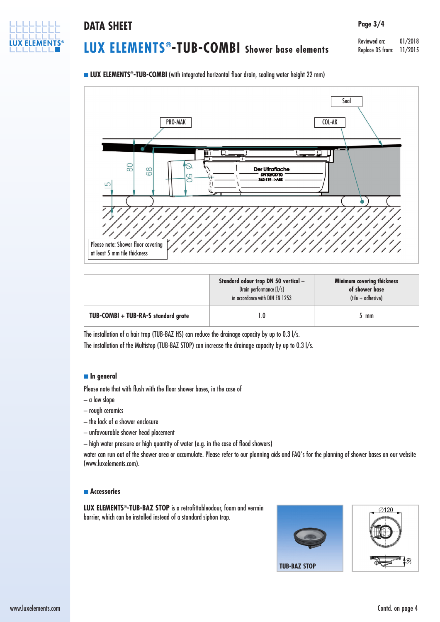

### **DATA SHEET Page 3/4**

# **LUX ELEMENTS®-TUB-COMBI Shower base elements**

Reviewed on: 01/2018 Replace DS from: 11/2015

**n LUX ELEMENTS<sup>®</sup>-TUB-COMBI** (with integrated horizontal floor drain, sealing water height 22 mm)



|                                     | Standard odour trap DN 50 vertical -<br>Drain performance [I/s]<br>in accordance with DIN EN 1253 | <b>Minimum covering thickness</b><br>of shower base<br>$(tile + adhesive)$ |
|-------------------------------------|---------------------------------------------------------------------------------------------------|----------------------------------------------------------------------------|
| TUB-COMBI + TUB-RA-S standard grate |                                                                                                   | mm                                                                         |

The installation of a hair trap (TUB-BAZ HS) can reduce the drainage capacity by up to 0.3 l/s. The installation of the Multistop (TUB-BAZ STOP) can increase the drainage capacity by up to 0.3 l/s.

#### n **In general**

Please note that with flush with the floor shower bases, in the case of

- a low slope
- rough ceramics
- the lack of a shower enclosure
- unfavourable shower head placement
- high water pressure or high quantity of water (e.g. in the case of flood showers)

water can run out of the shower area or accumulate. Please refer to our planning aids and FAQ's for the planning of shower bases on our website (www.luxelements.com).

#### **n Accessories**

**LUX ELEMENTS®-TUB-BAZ STOP** is a retrofittableodour, foam and vermin barrier, which can be installed instead of a standard siphon trap.